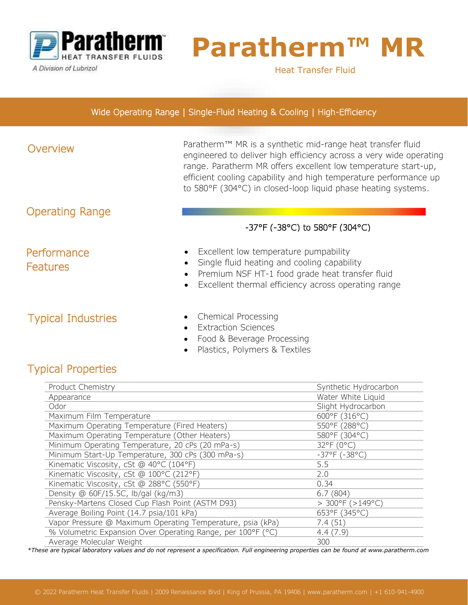

A Division of Lubrizol

Ĩ

# **Paratherm™**

Heat Transfer Fluid

#### Wide Operating Range | Single-Fluid Heating & Cooling | High-Efficiency

#### Overview Paratherm™ MR is a synthetic mid-range heat transfer fluid engineered to deliver high efficiency across a very wide operating range. Paratherm MR offers excellent low temperature start-up, efficient cooling capability and high temperature performance up to 580°F (304°C) in closed-loop liquid phase heating systems. • Excellent low temperature pumpability • Single fluid heating and cooling capability • Premium NSF HT-1 food grade heat transfer fluid Excellent thermal efficiency across operating range **Performance Features** Operating Range -37°F (-38°C) to 580°F (304°C)

## Typical Industries

- Chemical Processing
- Extraction Sciences
- Food & Beverage Processing
- Plastics, Polymers & Textiles

## Typical Properties

| Product Chemistry                                           | Synthetic Hydrocarbon        |
|-------------------------------------------------------------|------------------------------|
| Appearance                                                  | Water White Liquid           |
| Odor                                                        | Slight Hydrocarbon           |
| Maximum Film Temperature                                    | 600°F (316°C)                |
| Maximum Operating Temperature (Fired Heaters)               | 550°F (288°C)                |
| Maximum Operating Temperature (Other Heaters)               | 580°F (304°C)                |
| Minimum Operating Temperature, 20 cPs (20 mPa-s)            | 32°F (0°C)                   |
| Minimum Start-Up Temperature, 300 cPs (300 mPa-s)           | $-37^{\circ}F(-38^{\circ}C)$ |
| Kinematic Viscosity, cSt @ 40°C (104°F)                     | 5.5                          |
| Kinematic Viscosity, cSt @ 100°C (212°F)                    | 2.0                          |
| Kinematic Viscosity, cSt @ 288°C (550°F)                    | 0.34                         |
| Density @ 60F/15.5C, lb/gal (kg/m3)                         | 6.7(804)                     |
| Pensky-Martens Closed Cup Flash Point (ASTM D93)            | $>$ 300°F ( $>$ 149°C)       |
| Average Boiling Point (14.7 psia/101 kPa)                   | 653°F (345°C)                |
| Vapor Pressure @ Maximum Operating Temperature, psia (kPa)  | 7.4(51)                      |
| % Volumetric Expansion Over Operating Range, per 100°F (°C) | 4.4(7.9)                     |
| Average Molecular Weight                                    | 300                          |

*\*These are typical laboratory values and do not represent a specification. Full engineering properties can be found at www.paratherm.com*